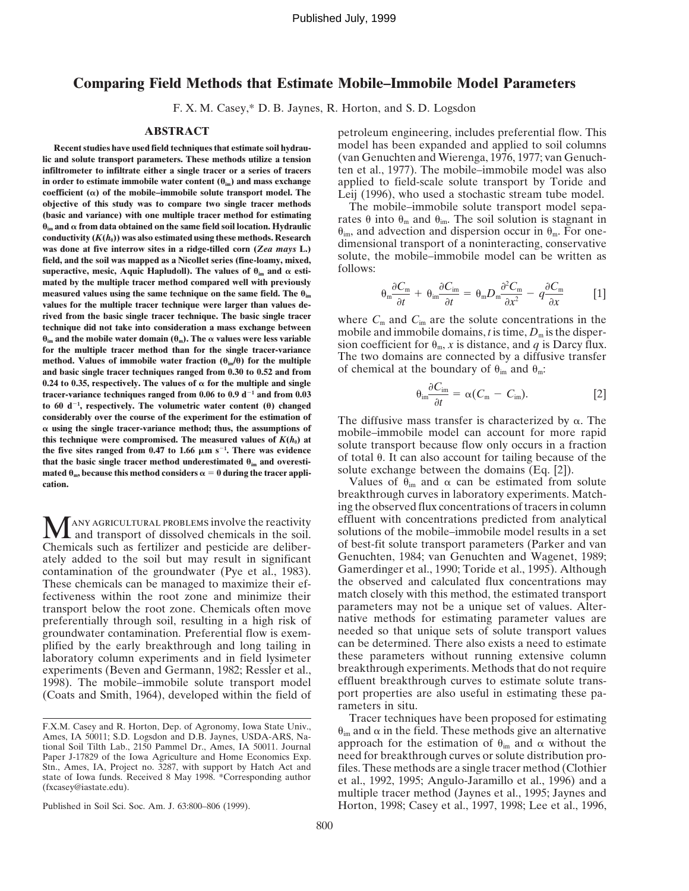## **Comparing Field Methods that Estimate Mobile–Immobile Model Parameters**

F. X. M. Casey,\* D. B. Jaynes, R. Horton, and S. D. Logsdon

lic and solute transport parameters. These methods utilize a tension **infiltrometer to infiltrate either a single tracer or a series of tracers** ten et al., 1977). The mobile–immobile model was also **in order to estimate immobile water content**  $(\theta_{im})$  **and mass exchange** applied to field-scale solute transport by Toride and **coefficient**  $(\alpha)$  of the mobile-immobile solute transport model. The  $\alpha$  Leii (1996), who us coefficient ( $\alpha$ ) of the mobile-immobile solute transport model. The<br>
objective of this study was to compare two single tracer methods<br>
(basic and variance) with one multiple tracer method for estimating<br>  $\theta_{lm}$  and  $\theta$ field, and the soil was mapped as a Nicollet series (fine-loamy, mixed,  $\frac{SOLULE}{S}$ , superactive, mesic, Aquic Hapludoll). The values of  $\theta_{\text{im}}$  and  $\alpha$  esti-<br>follows: **mated by the multiple tracer method compared well with previously measured values using the same technique on the same field. The**  $\theta_{im}$ **values for the multiple tracer technique were larger than values derived from the basic single tracer technique. The basic single tracer** where  $C_m$  and  $C_{im}$  are the solute concentrations in the **rechnique did not take into consideration a** mass exchange between **reproduced** and immob  $\theta_{\text{im}}$  and the mobile water domain  $(\theta_{\text{m}})$ . The  $\alpha$  values were less variable<br>for the multiple tracer method than for the single tracer-variance<br>ficient for  $\theta_{\text{m}}$ , x is distance, and q is Darcy flux. method. Values of immobile water fraction  $(\theta_{im}\theta)$  for the multiple<br>and basic single tracer techniques ranged from 0.30 to 0.52 and from  $\theta$  chemical at the boundary of  $\theta_{im}$  and  $\theta_m$ . 0.24 to 0.35, respectively. The values of  $\alpha$  for the multiple and single tracer-variance techniques ranged from  $0.06$  to  $0.9$  d<sup>-1</sup> and from  $0.03$ to 60  $d^{-1}$ , respectively. The volumetric water content  $(\theta)$  changed considerably over the course of the experiment for the estimation of<br>  $\alpha$  using the single tracer-variance method; thus, the assumptions of<br>
this technique were compromised. The measured values of  $K(h_0)$  at<br>
the five si that the basic single tracer method underestimated  $θ_{im}$  and overesti-<br>
mated  $θ_m$ , because this method considers  $α = 0$  during the tracer appli-<br>
solute exchange between the domains (Eq. [2]). **cation.** Values of  $\theta_{\text{im}}$  and  $\alpha$  can be estimated from solute

Chemicals such as fertilizer and pesticide are deliber-<br>ately added to the soil but may result in significant Genuchten, 1984; van Genuchten and Wagenet, 1989; ately added to the soil but may result in significant contamination of the groundwater (Pye et al., 1983). Gamerdinger et al., 1990; Toride et al., 1995). Although These chemicals can be managed to maximize their ef-<br>the observed and calculated flux concentrations may fectiveness within the root zone and minimize their match closely with this method, the estimated transport transport below the root zone. Chemicals often move parameters may not be a unique set of values. Alter-<br>preferentially through soil, resulting in a high risk of native methods for estimating parameter values are preferentially through soil, resulting in a high risk of native methods for estimating parameter values are groundwater contamination. Preferential flow is exem-<br>needed so that unique sets of solute transport values groundwater contamination. Preferential flow is exemplified by the early breakthrough and long tailing in can be determined. There also exists a need to estimate laboratory column experiments and in field lysimeter these parameters without running extensive column laboratory column experiments and in field lysimeter experiments (Beven and Germann, 1982; Ressler et al., breakthrough experiments. Methods that do not require 1998). The mobile–immobile solute transport model effluent breakthrough curves to estimate solute trans-<br>(Coats and Smith, 1964), developed within the field of port properties are also useful in estimating these pa-(Coats and Smith, 1964), developed within the field of

**ABSTRACT** petroleum engineering, includes preferential flow. This **Recent studies have used field techniques that estimate soil hydrau-** model has been expanded and applied to soil columns

$$
\theta_{\rm m} \frac{\partial C_{\rm m}}{\partial t} + \theta_{\rm im} \frac{\partial C_{\rm im}}{\partial t} = \theta_{\rm m} D_{\rm m} \frac{\partial^2 C_{\rm m}}{\partial x^2} - q \frac{\partial C_{\rm m}}{\partial x} \qquad [1]
$$

$$
\theta_{\text{im}} \frac{\partial C_{\text{im}}}{\partial t} = \alpha (C_{\text{m}} - C_{\text{im}}). \tag{2}
$$

solute exchange between the domains (Eq. [2]).

breakthrough curves in laboratory experiments. Matching the observed flux concentrations of tracers in column ANY AGRICULTURAL PROBLEMS involve the reactivity effluent with concentrations predicted from analytical and transport of dissolved chemicals in the soil. Solutions of the mobile–immobile model results in a set micals such rameters in situ.

F.X.M. Casey and R. Horton, Dep. of Agronomy, Iowa State Univ.,<br>
Ames, IA 50011; S.D. Logsdon and D.B. Jaynes, USDA-ARS, Na-<br>
tional Soil Tilth Lab., 2150 Pammel Dr., Ames, IA 50011. Journal approach for the estimation of need for breakthrough curves or solute distribution pro-Stn., Ames, IA, Project no. 3287, with support by Hatch Act and<br>state of Iowa funds. Received 8 May 1998. \*Corresponding author et al., 1992, 1995; Angulo-Jaramillo et al., 1996) and a<br>(fxcasey@iastate.edu). multiple trace Published in Soil Sci. Soc. Am. J. 63:800–806 (1999). Horton, 1998; Casey et al., 1997, 1998; Lee et al., 1996,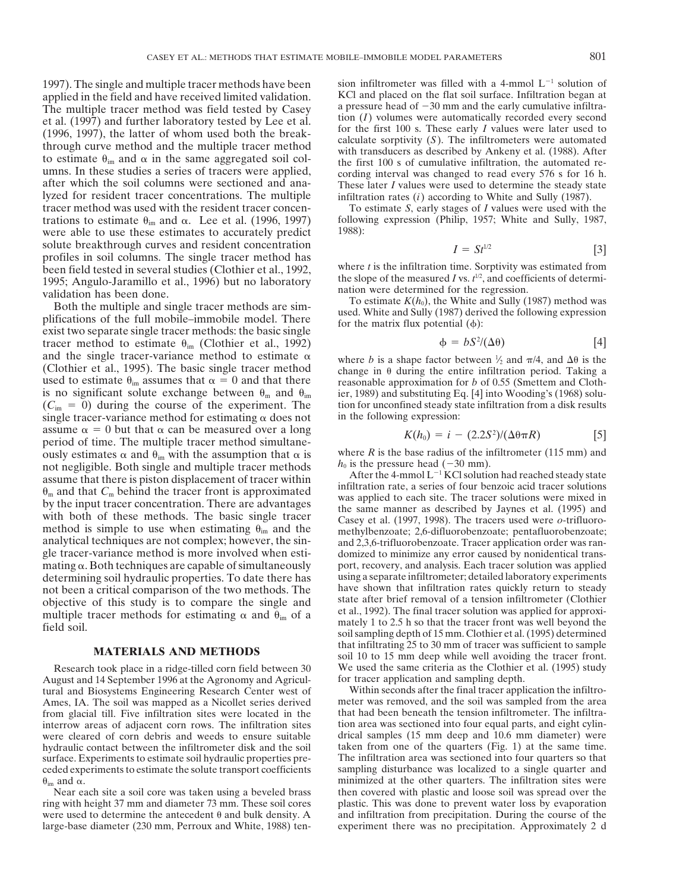applied in the field and have received limited validation. KCl and placed on the flat soil surface. Infiltration began at<br>The multiple tracer method was field tested by Casey a pressure head of  $-30$  mm and the early cumu The multiple tracer method was field tested by Casey a pressure head of  $-30$  mm and the early cumulative infiltra-<br>et al. (1997) and further laboratory tested by Lee et al. (1) volumes were automatically recorded every s et al. (1997) and further laboratory tested by Lee et al.<br>
(1996, 1997), the latter of whom used both the break-<br>
through curve method and the multiple tracer method<br>
through curve method and the multiple tracer method<br>
w lyzed for resident tracer concentrations. The multiple infiltration rates (*i*) according to White and Sully (1987). tracer method was used with the resident tracer concen-<br>trations to estimate  $\theta_{\text{in}}$  and  $\alpha$ . Lee et al. (1996, 1997) following expression (Philip, 1957; White and Sully, 1987, trations to estimate  $\theta_{\text{im}}$  and  $\alpha$ . Lee et al. (1996, 1997) follow<br>were able to use these estimates to accurately predict 1988): were able to use these estimates to accurately predict solute breakthrough curves and resident concentration  $I = St^{1/2}$  [3]<br>profiles in soil columns. The single tracer method has<br>been field tested in several studies (Clothier et al. 1992) where t is the infiltration time. Sor been field tested in several studies *(Clothier et al., 1992, the infiltration time. Some infinity was estimated from time.*  $1992$ *,*  $1992$ *,*  $1992$ *,*  $1992$ *,*  $1992$ *,*  $1992$ *,*  $1992$ *,*  $1992$ *,*  $1992$ *,*  $1992$ *,*  $1992$ *,*  $1992$ *, 1* 

1995; Angulo-Jaramillo et al., 1996) but no laboratory<br>validation has been done.<br>Both the multiple and single tracer methods are sim-<br>plifications of the full mobile-immobile model. There<br>exist two separate single tracer tracer method to estimate  $\theta_{\text{im}}$  (Clothier et al., 1992) and the single tracer-variance method to estimate  $\alpha$  where *b* is a shape factor between  $\frac{1}{2}$  and  $\pi/4$ , and  $\Delta\theta$  is the (Clothier et al., 1995). The basic single tracer method change in  $\theta$  during the entire i used to estimate  $\theta_{im}$  assumes that  $\alpha = 0$  and that there<br>is no significant solute exchange between  $\theta_m$  and  $\theta_{im}$  ier, 1989) and substituting Eq. [4] into Wooding's (1968) solu- $(C_{\text{im}} = 0)$  during the course of the experiment. The tion for unconfined steady state infiltration from a disk results single tracer-variance method for estimating  $\alpha$  does not in the following expression: single tracer-variance method for estimating  $\alpha$  does not assume  $\alpha = 0$  but that  $\alpha$  can be measured over a long period of time. The multiple tracer method simultane-<br>ously estimates  $\alpha$  and  $\theta_m$  with the assumption that  $\alpha$  is where R is the base radius of the infiltrometer (115 mm) and ously estimates  $\alpha$  and  $\theta_{im}$  with the assumption that  $\alpha$  is  $m$  where *R* is the base radius of the infinite. Both single and multiple tracer methods  $h_0$  is the pressure head (-30 mm). not negligible. Both single and multiple tracer methods<br>assume that there is piston displacement of tracer within<br> $\theta_m$  and that  $C_m$  behind the tracer front is approximated<br>by the input tracer concentration. There are ad with both of these methods. The basic single tracer<br>method is simple to use when estimating  $\theta_{im}$  and the<br>analytical techniques are not complex; however, the sin-<br>gle tracer-variance method is more involved when esti-<br>d mating  $\alpha$ . Both techniques are capable of simultaneously port, recovery, and analysis. Each tracer solution was applied determining soil hydraulic properties. To date there has using a separate infiltrometer; detailed laboratory experiments not been a critical comparison of the two methods. The have shown that infiltration rates quickly ret not been a critical comparison of the two methods. The have shown that infiltration rates quickly return to steady<br>objective of this study is to compare the single and state after brief removal of a tension infiltrometer ( objective of this study is to compare the single and state after brief removal of a tension infiltrometer (Clothier multiple tracer methods for estimating  $\alpha$  and  $\beta$ , of a set al., 1992). The final tracer solution was

August and 14 September 1996 at the Agronomy and Agricul-<br>
for tracer application and sampling depth.<br>
Unitary and Biosystems Engineering Research Center west of Within seconds after the final tracer application the infilt tural and Biosystems Engineering Research Center west of Within seconds after the final tracer application the infiltro-<br>Ames. IA. The soil was manned as a Nicollet series derived meter was removed, and the soil was sample Ames, IA. The soil was mapped as a Nicollet series derived meter was removed, and the soil was sampled from the area<br>from glacial till. Five infiltration sites were located in the that had been beneath the tension infiltro from glacial till. Five infiltration sites were located in the that had been beneath the tension infiltrometer. The infiltration sites interrow areas of adjacent corn rows. The infiltration sites interval area was sectione interrow areas of adjacent corn rows. The infiltration sites were cleared of corn debris and weeds to ensure suitable hydraulic contact between the infiltrometer disk and the soil surface. Experiments to estimate soil hydraulic properties pre-<br>ceded experiments to estimate the solute transport coefficients sampling disturbance was localized to a single quarter and ceded experiments to estimate the solute transport coefficients  $\theta_{im}$  and  $\alpha$ .

ring with height 37 mm and diameter 73 mm. These soil cores plastic. This was done to prevent water loss by evaporation were used to determine the antecedent  $\theta$  and bulk density. A and infiltration from precipitation. D large-base diameter (230 mm, Perroux and White, 1988) ten- experiment there was no precipitation. Approximately 2 d

1997). The single and multiple tracer methods have been sion infiltrometer was filled with a 4-mmol  $L^{-1}$  solution of applied in the field and have received limited validation KCl and placed on the flat soil surface. Inf

$$
I = St^{1/2} \tag{3}
$$

the slope of the measured *I* vs.  $t^{1/2}$ , and coefficients of determination were determined for the regression.

$$
\phi = bS^2/(\Delta \theta) \tag{4}
$$

where *b* is a shape factor between  $\frac{1}{2}$  and  $\pi/4$ , and  $\Delta\theta$  is the ier, 1989) and substituting Eq. [4] into Wooding's (1968) solu-

$$
K(h_0) = i - (2.2S^2)/(\Delta \theta \pi R) \tag{5}
$$

domized to minimize any error caused by nonidentical transmultiple tracer methods for estimating  $\alpha$  and  $\theta_{\text{im}}$  of a<br>field soil.<br>field soil.<br>field soil.<br>field soil.<br>field soil.<br>field soil.<br>field soil.<br>field soil.<br>field soil.<br>field soil. **MATERIALS AND METHODS** that infiltrating 25 to 30 mm of tracer was sufficient to sample soil 10 to 15 mm deep while well avoiding the tracer front. Research took place in a ridge-tilled corn field between 30 We used the same criteria as the Clothier et al. (1995) study ugust and 14 September 1996 at the Agronomy and Agricul-<br>for tracer application and sampling depth.

drical samples (15 mm deep and 10.6 mm diameter) were taken from one of the quarters (Fig. 1) at the same time.  $\alpha$  minimized at the other quarters. The infiltration sites were<br>Near each site a soil core was taken using a beveled brass then covered with plastic and loose soil was spread over the then covered with plastic and loose soil was spread over the and infiltration from precipitation. During the course of the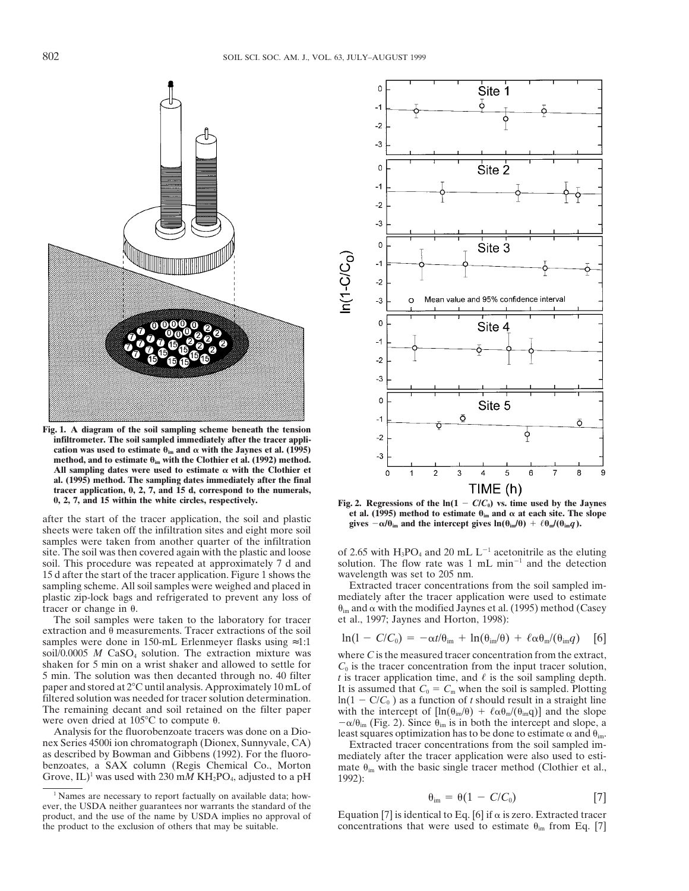

**Fig. 1. A diagram of the soil sampling scheme beneath the tension infiltrometer. The soil sampled immediately after the tracer application was used to estimate**  $\theta_{\text{im}}$  **and**  $\alpha$  **with the Jaynes et al. (1995)** method, and to estimate  $\theta_{\text{im}}$  with the Clothier et al. (1992) method. All sampling dates were used to estimate  $\alpha$  with the Clothier et **al. (1995) method. The sampling dates immediately after the final tracer application, 0, 2, 7, and 15 d, correspond to the numerals,**

after the start of the tracer application, the soil and plastic sheets were taken off the infiltration sites and eight more soil sites  $-\alpha/\theta_{\rm im}$  and the intercept gives  $\ln(\theta_{\rm im}/\theta) + \ell \theta_{\rm m}/(\theta_{\rm im}/\theta)$ . samples were taken from another quarter of the infiltration site. The soil was then covered again with the plastic and loose of 2.65 with  $H_3PO_4$  and 20 mL  $L^{-1}$  acetonitrile as the eluting soil. This procedure was repeated at approximately 7 d and solution. The flow rate was 1 mL min<sup>-1</sup> and the detection 15 d after the start of the tracer application. Figure 1 shows the wavelength was set to 205 nm. 15 d after the start of the tracer application. Figure 1 shows the wavelength was set to 205 nm.<br>
sampling scheme. All soil samples were weighed and placed in Extracted tracer concentrations from the soil sampled imsampling scheme. All soil samples were weighed and placed in Extracted tracer concentrations from the soil sampled im-<br>plastic zip-lock bags and refrigerated to prevent any loss of mediately after the tracer application we plastic zip-lock bags and refrigerated to prevent any loss of tracer or change in  $\theta$ . under the modified Jaynes et al. (1995) method (Casey

The soil samples were taken to the laboratory for tracer et al., 1997; Jaynes and Horton, 1998): extraction and  $\theta$  measurements. Tracer extractions of the soil samples were done in 150-mL Erlenmeyer flasks using ≈1:1 soil/0.0005 *M* CaSO<sub>4</sub> solution. The extraction mixture was soil/0.0005 *M* CaSO<sub>4</sub> solution. The extraction mixture was where *C* is the measured tracer concentration from the extract, shaken for 5 min on a wrist shaker and allowed to settle for  $C_0$  is the tracer concentration



**Fig. 2. Regressions of the**  $\ln(1 - C/C_0)$  **vs. time used by the Jaynes et al. (1995) method to estimate**  $\theta_{\text{im}}$  **and**  $\alpha$  **at each site. The slope** 

$$
\ln(1 - C/C_0) = -\alpha t/\theta_{\rm im} + \ln(\theta_{\rm im}/\theta) + \ell \alpha \theta_{\rm m}/(\theta_{\rm im}q)
$$
 [6]

shaken for 5 min on a wrist shaker and allowed to settle for<br>
5 min. The solution was then decanted through no. 40 filter<br>
f is tracer concentration from the input tracer solution,<br>
paper and stored at 2°C until analysis.

$$
\theta_{\rm im} = \theta (1 - C/C_0) \tag{7}
$$

Equation [7] is identical to Eq. [6] if  $\alpha$  is zero. Extracted tracer the product to the exclusion of others that may be suitable. concentrations that were used to estimate  $\theta_{\text{im}}$  from Eq. [7]

<sup>&</sup>lt;sup>1</sup> Names are necessary to report factually on available data; how-<br>ever, the USDA neither guarantees nor warrants the standard of the<br>product, and the use of the name by USDA implies no approval of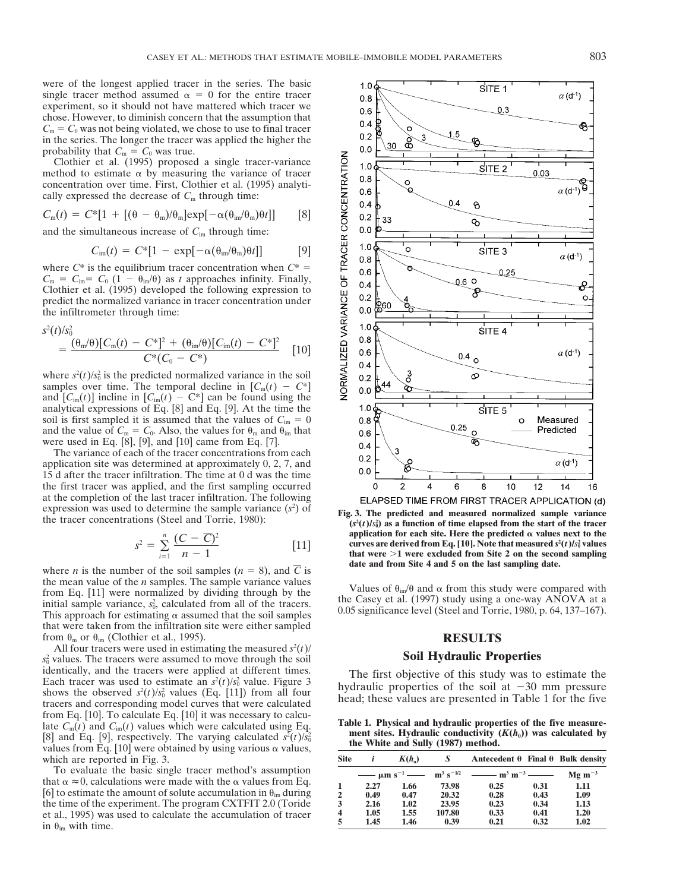were of the longest applied tracer in the series. The basic single tracer method assumed  $\alpha = 0$  for the entire tracer experiment, so it should not have mattered which tracer we chose. However, to diminish concern that the assumption that  $C_m = C_0$  was not being violated, we chose to use to final tracer in the series. The longer the tracer was applied the higher the probability that  $C_m = C_0$  was true.

Clothier et al. (1995) proposed a single tracer-variance method to estimate  $\alpha$  by measuring the variance of tracer concentration over time. First, Clothier et al. (1995) analytically expressed the decrease of  $C<sub>m</sub>$  through time:

$$
C_{\rm m}(t) = C^*[1 + [(\theta - \theta_{\rm m})/\theta_{\rm m}] \exp[-\alpha(\theta_{\rm im}/\theta_{\rm m})\theta t]] \qquad [8]
$$

and the simultaneous increase of *C*im through time:

$$
C_{\rm im}(t) = C^*[1 - \exp[-\alpha(\theta_{\rm im}/\theta_{\rm m})\theta t]] \qquad [9]
$$

where  $C^*$  is the equilibrium tracer concentration when  $C^*$  =  $C_m = C_{im} = C_0 (1 - \theta_{im}/\theta)$  as *t* approaches infinity. Finally, Clothier et al. (1995) developed the following expression to predict the normalized variance in tracer concentration under the infiltrometer through time:

$$
s^{2}(t)/s_{0}^{2}
$$
\n
$$
= \frac{(\theta_{\rm m}/\theta)[C_{\rm m}(t) - C^{*}]^{2} + (\theta_{\rm im}/\theta)[C_{\rm im}(t) - C^{*}]^{2}}{C^{*}(C_{0} - C^{*})}
$$
\n[10]

where  $s^2(t)/s_0^2$  is the predicted normalized variance in the soil samples over time. The temporal decline in  $[C_m(t) - C^*]$ and  $[C_{im}(t)]$  incline in  $[C_{im}(t) - C^{*}]$  can be found using the analytical expressions of Eq. [8] and Eq. [9]. At the time the soil is first sampled it is assumed that the values of  $C_{\text{im}} = 0$ and the value of  $C_m = C_0$ . Also, the values for  $\theta_m$  and  $\theta_{im}$  that were used in Eq. [8], [9], and [10] came from Eq. [7].

The variance of each of the tracer concentrations from each application site was determined at approximately 0, 2, 7, and 15 d after the tracer infiltration. The time at 0 d was the time the first tracer was applied, and the first sampling occurred at the completion of the last tracer infiltration. The following expression was used to determine the sample variance  $(s^2)$  of at the completion of the last tracer inflitration. The following<br>expression was used to determine the sample variance  $(s^2)$  of<br>the tracer concentrations (Steel and Torrie, 1980):<br> $(s^2(t)/s^2)$  as a function of time elansed

$$
s^{2} = \sum_{i=1}^{n} \frac{(C - \overline{C})^{2}}{n - 1}
$$
 [11]

where *n* is the number of the soil samples  $(n = 8)$ , and *C* is the mean value of the *n* samples. The sample variance values the mean value of the *n* samples. The sample variance values<br>from Eq. [11] were normalized by dividing through by the<br>initial sample variance,  $s_0^2$ , calculated from all of the tracers.<br>initial sample variance,  $s_0^2$ initial sample variance,  $s_0^2$ , calculated from all of the tracers.<br>This approach for estimating  $\alpha$  assumed that the soil samples 0.05 significance level (Steel and Torrie, 1980, p. 64, 137–167). that were taken from the infiltration site were either sampled from  $\theta_m$  or  $\theta_{im}$  (Clothier et al., 1995). **RESULTS** 

All four tracers were used in estimating the measured  $s^2(t)$  **Soil Hydraulic Properties** *s*<sup>2</sup> values. The tracers were assumed to move through the soil **Solurge Soil Hydraulic Properties**  $s_0^2$  values. The tracers were assumed to move through the soil identically, and the tracers were applied at different times. Each tracer was used to estimate an  $s^2(t)/s_0^2$  value. Figure 3 Each tracer was used to estimate an  $s^2(t)/s_0^2$  value. Figure 3<br>shows the observed  $s^2(t)/s_0^2$  values (Eq. [11]) from all four<br>tracers and corresponding model curves that were calculated head; these values are presented shows the observed  $s^2(t)/s_0^2$  values (Eq. [11]) from all four from Eq. [10]. To calculate Eq. [10] it was necessary to calcu-<br>late  $C_m(t)$  and  $C_{im}(t)$  values which were calculated using Eq. <br>[8] and Eq. [9], respectively. The varying calculated  $s^2(t)/s_0^2$  **and the White and Sully** (8) and Eq. [9], respectively. The varying calculated  $s^2(t)/s_0^2$  ment sites. Hydraulic conductivity  $(K(h_0))$  was calculated by values from Eq. [10] were obtained by using various  $\alpha$  values, which are reported in Fig. 3.

To evaluate the basic single tracer method's assumption that  $\alpha \approx 0$ , calculations were made with the  $\alpha$  values from Eq. [6] to estimate the amount of solute accumulation in  $\theta_{im}$  during the time of the experiment. The program CXTFIT 2.0 (Toride et al., 1995) was used to calculate the accumulation of tracer in  $\theta_{\text{im}}$  with time.  $\frac{5}{2}$  1.45 1.46 0.39 0.21 0.32 1.02

 $1.0$ SITE<sub>1</sub>  $\alpha$  (d<sup>-1</sup>)  $0.8$  $0.6$  $0.3$  $0.4$ o  $0.2$ စိ 30  $0.0$ **VORMALIZED VARIANCE OF TRACER CONCENTRATION**  $1.0$ SITE 2 0.03  $0.8$  $\circ$ ó  $\alpha$  (d<sup>-1</sup>)  $0.6$  $0.4$  $0.4$  $\delta$ ł  $0.2\,$ 33 ℅  $0.0\,$  $1.0$ Ō SITE 3  $\alpha$  (d<sup>-1</sup>)  $0.8\,$  $0.6$ 0.25 0.6 O  $0.4$ ୫ F  $0.2$ o  $0.0\,$  $1.0$ SITE 4  $0.8\,$  $0.6$  $\alpha$  (d<sup>-1</sup>)  $^{0.4}$  o  $0.4$ Ø  $0.2\,$  $0.0\,$  $1.0$  $S$ ITE  $5$  $0.8$ Ō Measured 0.25 Predicted  $0.6$  $0.4$  $0.2$  $\alpha$  (d<sup>-1</sup>)  $0.0$  $\Omega$  $\overline{c}$ 4 6 8  $10$  $12$  $14$ 16

 $(t)/s_0^2$  as a function of time elapsed from the start of the tracer application for each site. Here the predicted  $\alpha$  values next to the  $\sigma_s^2 = \sum_{n=1}^{\infty} \frac{(\mathbf{C} - \mathbf{C})}{n-1}$  [11] curves are derived from Eq. [10]. Note that measured  $s^2(t)/s_0^2$  values that were  $>1$  were excluded from Site 2 on the second sampling date and from Site 4 and 5 on the last sampling date.

The first objective of this study was to estimate the head; these values are presented in Table 1 for the five

| <b>Site</b>             |      | $K(h_0)$ | S      | Antecedent $\theta$ Final $\theta$ Bulk density                                                                                                 |      |             |
|-------------------------|------|----------|--------|-------------------------------------------------------------------------------------------------------------------------------------------------|------|-------------|
|                         |      |          |        | $\frac{1}{2}$ $\mu$ m s <sup>-1</sup> $\frac{1}{2}$ m <sup>3</sup> s <sup>-1/2</sup> $\frac{1}{2}$ m <sup>3</sup> m <sup>-3</sup> $\frac{1}{2}$ |      | $Mg m^{-3}$ |
|                         | 2.27 | 1.66     | 73.98  | 0.25                                                                                                                                            | 0.31 | 1.11        |
| $\mathbf{2}$            | 0.49 | 0.47     | 20.32  | 0.28                                                                                                                                            | 0.43 | 1.09        |
| 3                       | 2.16 | 1.02     | 23.95  | 0.23                                                                                                                                            | 0.34 | 1.13        |
| $\overline{\mathbf{4}}$ | 1.05 | 1.55     | 107.80 | 0.33                                                                                                                                            | 0.41 | 1.20        |
| 5                       | 1.45 | 1.46     | 0.39   | 0.21                                                                                                                                            | 0.32 | 1.02        |
|                         |      |          |        |                                                                                                                                                 |      |             |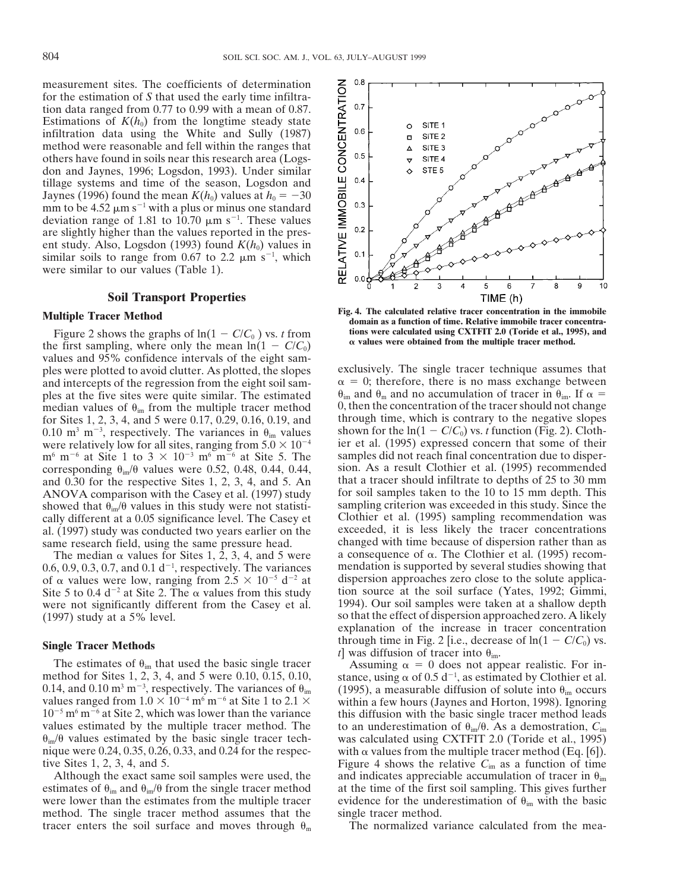measurement sites. The coefficients of determination for the estimation of *S* that used the early time infiltration data ranged from 0.77 to 0.99 with a mean of 0.87. Estimations of  $K(h_0)$  from the longtime steady state infiltration data using the White and Sully (1987) method were reasonable and fell within the ranges that others have found in soils near this research area (Logsdon and Jaynes, 1996; Logsdon, 1993). Under similar tillage systems and time of the season, Logsdon and Jaynes (1996) found the mean  $K(h_0)$  values at  $h_0 = -30$ mm to be 4.52  $\mu$ m s<sup>-1</sup> with a plus or minus one standard deviation range of 1.81 to 10.70  $\mu$ m s<sup>-1</sup>. These values are slightly higher than the values reported in the present study. Also, Logsdon (1993) found  $K(h_0)$  values in similar soils to range from 0.67 to 2.2  $\mu$ m s<sup>-1</sup>, which were similar to our values (Table 1).

### **Soil Transport Properties**

Figure 2 shows the graphs of  $\ln(1 - C/C_0)$  vs. *t* from<br>the first sampling, where only the mean  $\ln(1 - C/C_0)$  a values were obtained from the multiple tracer method. values and 95% confidence intervals of the eight samples were plotted to avoid clutter. As plotted, the slopes exclusively. The single tracer technique assumes that and intercepts of the regression from the eight soil sam- $\alpha = 0$ ; therefore, there is no mass exchange betwe and intercepts of the regression from the eight soil sam-<br> $\alpha = 0$ ; therefore, there is no mass exchange between<br>ples at the five sites were quite similar. The estimated  $\theta_{im}$  and  $\theta_m$  and no accumulation of tracer in showed that  $\theta_{\rm im}/\theta$  values in this study were not statisti-

were not significantly different from the Casey et al.

method for Sites 1, 2, 3, 4, and 5 were 0.10, 0.15, 0.10, 0.14, and 0.10 m<sup>3</sup> m<sup>-3</sup>, respectively. The variances of  $\theta_{\text{im}}$ values ranged from  $1.0 \times 10^{-4}$  m<sup>6</sup> m<sup>-6</sup> at Site 1 to 2.1  $\times$  within a few hours (Jaynes and Horton, 1998). Ignoring 10<sup>-5</sup> m<sup>6</sup> m<sup>-6</sup> at Site 2, which was lower than the variance this diffusion with the basic single values estimated by the multiple tracer method. The to an underestimation of  $\theta_{\rm im}/\theta$ . As a demostration,  $C_{\rm im}$  $\theta_{\rm im}/\theta$  values estimated by the basic single tracer tech- was calculated using CXTFIT 2.0 (Toride et al., 1995) nique were 0.24, 0.35, 0.26, 0.33, and 0.24 for the respec- with  $\alpha$  values from the multiple tracer method (Eq. [6]).

estimates of  $\theta_{\rm im}$  and  $\theta_{\rm im}/\theta$  from the single tracer method at the time of the first soil sampling. This gives further were lower than the estimates from the multiple tracer evidence for the underestimation of  $\theta_{\text{im}}$  with the basic method. The single tracer method assumes that the single tracer method. tracer enters the soil surface and moves through  $\theta_m$  The normalized variance calculated from the mea-



**Fig. 4.** The calculated relative tracer concentration in the immobile<br> **Fig. 4.** The calculated relative tracer concentration in the immobile<br> **Fig. 4.** The calculated relative tracer concentration in the immobile **domain as a function of time. Relative immobile tracer concentra-**

ples at the five sites were quite similar. The estimated  $\theta_{im}$  and  $\theta_m$  and no accumulation of tracer in  $\theta_{im}$ . If  $\alpha$  = median values of  $\theta_{im}$  from the multiple tracer method 0, then the concentration of the trac median values of  $\theta_{\text{im}}$  from the multiple tracer method  $\theta$ , then the concentration of the tracer should not change for Sites 1, 2, 3, 4, and 5 were 0.17, 0.29, 0.16, 0.19, and through time, which is contrary to the for Sites 1, 2, 3, 4, and 5 were 0.17, 0.29, 0.16, 0.19, and through time, which is contrary to the negative slopes 0.10 m<sup>3</sup> m<sup>-3</sup>, respectively. The variances in  $\theta_{\text{in}}$  values shown for the ln(1 – C/C<sub>0</sub>) vs. *t* fu 0.10 m<sup>3</sup> m<sup>-3</sup>, respectively. The variances in  $\theta_{\text{im}}$  values shown for the  $\ln(1 - C/C_0)$  vs. *t* function (Fig. 2). Clothwere relatively low for all sites, ranging from  $5.0 \times 10^{-4}$  ier et al. (1995) expressed concern that some of their  $\text{m}^6$  m<sup>-6</sup> at Site 1 to 3  $\times$  10<sup>-3</sup> m<sup>6</sup> m<sup>-6</sup> at Site 5. The samples did not reach final concent m<sup>6</sup> m<sup>-6</sup> at Site 1 to 3  $\times$  10<sup>-3</sup> m<sup>6</sup> m<sup>-6</sup> at Site 5. The samples did not reach final concentration due to disper-<br>corresponding  $\theta_{\text{in}}/\theta$  values were 0.52, 0.48, 0.44, 0.44, sion. As a result Clothier et al. (19 corresponding  $\theta_{\text{im}}/\theta$  values were 0.52, 0.48, 0.44, 0.44, sion. As a result Clothier et al. (1995) recommended and 0.30 for the respective Sites 1, 2, 3, 4, and 5. An that a tracer should infiltrate to depths of 25 t and 0.30 for the respective Sites 1, 2, 3, 4, and 5. An that a tracer should infiltrate to depths of 25 to 30 mm ANOVA comparison with the Casey et al. (1997) study for soil samples taken to the 10 to 15 mm depth. This ANOVA comparison with the Casey et al. (1997) study for soil samples taken to the 10 to 15 mm depth. This showed that  $\theta_{i\omega}/\theta$  values in this study were not statisti-<br>sampling criterion was exceeded in this study. Sinc cally different at a 0.05 significance level. The Casey et Clothier et al. (1995) sampling recommendation was al. (1997) study was conducted two years earlier on the exceeded, it is less likely the tracer concentrations same research field, using the same pressure head. Changed with time because of dispersion rather than as same research field, using the same pressure head. changed with time because of dispersion rather than as<br>The median  $\alpha$  values for Sites 1, 2, 3, 4, and 5 were a consequence of  $\alpha$ . The Clothier et al. (1995) recom-The median  $\alpha$  values for Sites 1, 2, 3, 4, and 5 were a consequence of  $\alpha$ . The Clothier et al. (1995) recom-<br>6, 0, 9, 0, 3, 0, 7, and 0, 1 d<sup>-1</sup>, respectively. The variances mendation is supported by several studies s  $0.6, 0.9, 0.3, 0.7,$  and  $0.1$  d<sup>-1</sup>, respectively. The variances mendation is supported by several studies showing that of  $\alpha$  values were low, ranging from  $2.5 \times 10^{-5}$  d<sup>-2</sup> at dispersion approaches zero close to the solute applica-<br>Site 5 to 0.4 d<sup>-2</sup> at Site 2. The  $\alpha$  values from this study tion source at the soil surface (Yates, 1 Site 5 to 0.4 d<sup>-2</sup> at Site 2. The  $\alpha$  values from this study ion source at the soil surface (Yates, 1992; Gimmi, were not significantly different from the Casev et al. 1994). Our soil samples were taken at a shallow dep (1997) study at a 5% level. so that the effect of dispersion approached zero. A likely explanation of the increase in tracer concentration **Single Tracer Methods** through time in Fig. 2 [i.e., decrease of  $ln(1 - C/C_0)$  vs.<br>The estimates of  $\theta_{im}$  that used the basic single tracer<br>through time in Fig. 2 [i.e., decrease of  $ln(1 - C/C_0)$  vs.<br>Assuming  $\alpha = 0$  does

stance, using  $\alpha$  of 0.5 d<sup>-1</sup>, as estimated by Clothier et al. (1995), a measurable diffusion of solute into  $\theta_{\rm im}$  occurs this diffusion with the basic single tracer method leads tive Sites 1, 2, 3, 4, and 5. Figure 4 shows the relative  $C_{\text{im}}$  as a function of time Although the exact same soil samples were used, the and indicates appreciable accumulation of tracer in  $\theta_{im}$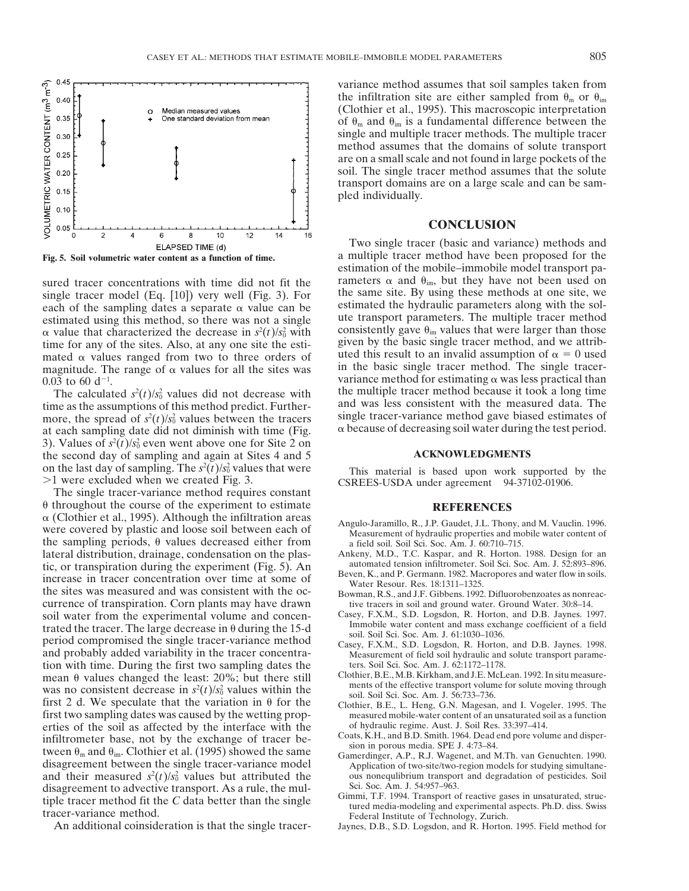

single tracer model (Eq. [10]) very well (Fig. 3). For the same site. By using these methods at one site, we each of the sampling dates a separate  $\alpha$  value can be estimated the hydraulic parameters along with the sole e estimated using this method, so there was not a single  $(t)/s_0^2$  with time for any of the sites. Also, at any one site the esti-<br>mated  $\alpha$  values ranged from two to three orders of uted this result to an invalid assumption of  $\alpha = 0$  used mated  $\alpha$  values ranged from two to three orders of uted this result to an invalid assumption of  $\alpha = 0$  used<br>magnitude. The range of  $\alpha$  values for all the sites was in the basic single tracer method. The single tracer magnitude. The range of  $\alpha$  values for all the sites was  $0.03$  to 60 d<sup>-1</sup>.

more, the spread of  $s^2(t)/s_0^2$  values between the tracers single tracer-variance method gave biased estimates of at each sampling date did not diminish with time (Fig.  $\alpha$  because of decreasing soil water during the te 3). Values of  $s^2(t)/s_0^2$  even went above one for Site 2 on the second day of sampling and again at Sites 4 and 5 **ACKNOWLEDGMENTS** on the last day of sampling. The  $s^2(t)/s_0^2$ on the last day of sampling. The  $s^2(t)/s_0^2$  values that were<br>  $>1$  were excluded when we created Fig. 3.<br>
CSREES-USDA under agreement 94-37102-01906.

The single tracer-variance method requires constant  $\theta$  throughout the course of the experiment to estimate<br>  $\alpha$  (Clothier et al., 1995). Although the infiltration areas<br>
were covered by plastic and loose soil between each of<br>
the sampling periods,  $\theta$  values decreased lateral distribution, drainage, condensation on the plas-<br>
tic or transpiration during the experiment (Fig. 5) An automated tension infiltrometer. Soil Sci. Soc. Am. J. 52:893–896. tic, or transpiration during the experiment (Fig. 5). An automated tension infiltrometer. Soil Sci. Soc. Am. J. 52:893–896.<br>increase in tracer concentration over time at some of the sites was measured and was consistent wi currence of transpiration. Corn plants may have drawn tive tracers in soil and ground water. Ground Water. 30:8–14.<br>
soil water from the experimental volume and concen-<br>
Casey, F.X.M., S.D. Logsdon, R. Horton, and D.B. Jay Soil water from the experimental volume and concen-<br>
trated the tracer. The large decrease in θ during the 15-d<br>
period compromised the single tracer-variance method<br>
Casey, F.X.M., S.D. Logsdon, R. Horton, and D.B. Jayne and probably added variability in the tracer concentra-<br>
Measurement of field soil hydraulic and solute transport parame-<br>
ters. Soil Sci. Soc. Am. J. 62:1172–1178. tion with time. During the first two sampling dates the ters. Soil Sci. Soc. Am. J. 62:1172–1178.<br>mean  $\theta$  values changed the least: 20%; but there still Clothier, B.E., M.B. Kirkham, and J.E. McLean. 1992. In situ measur mean  $\theta$  values changed the least: 20%; but there still<br>was no consistent decrease in  $s^2(t)/s_0^2$  values within the<br>was no consistent decrease in  $s^2(t)/s_0^2$  values within the<br>soil. Soil Sci. Soc. Am. J. 56:733–736. was no consistent decrease in  $s^2(t)/s_0^2$  values within the first 2 d. We speculate that the variation in  $\theta$  for the Clothier, B.E., L. Heng, G.N. Magesan, and I. Vogeler. 1995. The first two sampling dates was caused by the wetting prop-<br>measured mobile-water content of an unsa first two sampling dates was caused by the wetting prop-<br>erties of the soil as affected by the interface with the of hydraulic regime. Aust. J. Soil Res. 33:397–414. erties of the soil as affected by the interface with the of hydraulic regime. Aust. J. Soil Res. 33:397–414.<br>
coats, K.H., and B.D. Smith. 1964. Dead end pore volume and disper-<br>
coats, K.H., and B.D. Smith. 1964. Dead end infiltrometer base, not by the exchange of tracer be-<br>tween  $\theta_m$  and  $\theta_{im}$ . Clothier et al. (1995) showed the same<br>disagreement between the single tracer-variance model<br>disagreement between the single tracer-variance m disagreement between the single tracer-variance model and their measured  $s^2(t)/s_0^2$  values but attributed the ous nonequibrium transport and degradation of pesticides. Soil disagreement to advective transport. As a rule, the mul-<br>tiple tracer method fit the C data better than the single<br>tracer-variance method.<br>An additional coinsideration is that the single tracer-<br>Jaynes, D.B., S.D. Logsdon,

variance method assumes that soil samples taken from the infiltration site are either sampled from  $\theta_{\rm m}$  or  $\theta_{\rm im}$ (Clothier et al., 1995). This macroscopic interpretation of  $\theta_m$  and  $\theta_{im}$  is a fundamental difference between the single and multiple tracer methods. The multiple tracer method assumes that the domains of solute transport are on a small scale and not found in large pockets of the soil. The single tracer method assumes that the solute transport domains are on a large scale and can be sampled individually.

## **CONCLUSION**

Two single tracer (basic and variance) methods and Fig. 5. Soil volumetric water content as a function of time. <br>a multiple tracer method have been proposed for the estimation of the mobile–immobile model transport pasured tracer concentrations with time did not fit the rameters  $\alpha$  and  $\theta_{\text{im}}$ , but they have not been used on single tracer model (Eq. [10]) very well (Fig. 3) For the same site. By using these methods at one site, w consistently gave  $\theta_{\text{im}}$  values that were larger than those given by the basic single tracer method, and we attribvariance method for estimating  $\alpha$  was less practical than the multiple tracer method because it took a long time The calculated  $s^2(t)/s_0^2$  values did not decrease with the multiple tracer method because it took a long time time as the assumptions of this method predict. Further-<br>more the single tracer-variance method gave biased estimates of<br>more the single tracer-variance method gave biased estimates of

CSREES-USDA under agreement 94-37102-01906.

- 
- 
- 
- 
- 
- 
- 
- 
- 
- 
- 
- Jaynes, D.B., S.D. Logsdon, and R. Horton. 1995. Field method for